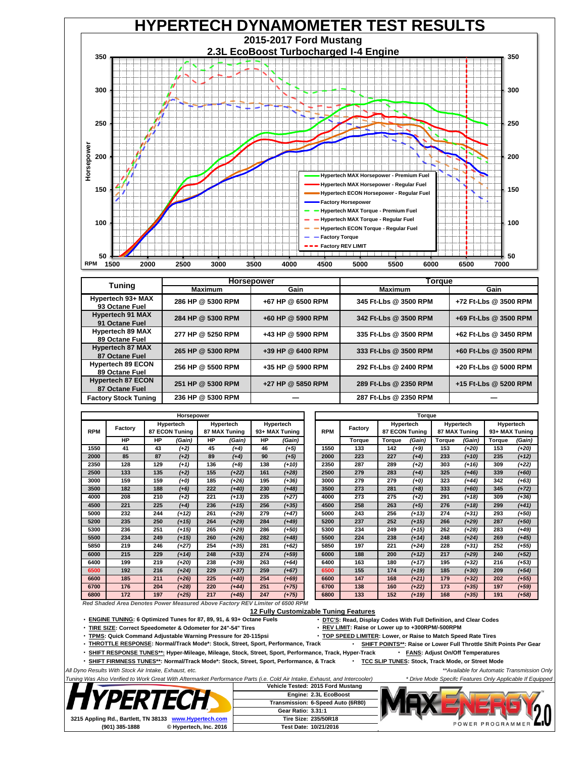

|                                            |                   | <b>Horsepower</b>   | Torque                |                       |  |  |  |
|--------------------------------------------|-------------------|---------------------|-----------------------|-----------------------|--|--|--|
| <b>Tuning</b>                              | <b>Maximum</b>    | Gain                | <b>Maximum</b>        | Gain                  |  |  |  |
| Hypertech 93+ MAX<br>93 Octane Fuel        | 286 HP @ 5300 RPM | +67 HP @ 6500 RPM   | 345 Ft-Lbs @ 3500 RPM | +72 Ft-Lbs @ 3500 RPM |  |  |  |
| <b>Hypertech 91 MAX</b><br>91 Octane Fuel  | 284 HP @ 5300 RPM | $+60$ HP @ 5900 RPM | 342 Ft-Lbs @ 3500 RPM | +69 Ft-Lbs @ 3500 RPM |  |  |  |
| <b>Hypertech 89 MAX</b><br>89 Octane Fuel  | 277 HP @ 5250 RPM | +43 HP @ 5900 RPM   | 335 Ft-Lbs @ 3500 RPM | +62 Ft-Lbs @ 3450 RPM |  |  |  |
| <b>Hypertech 87 MAX</b><br>87 Octane Fuel  | 265 HP @ 5300 RPM | +39 HP @ 6400 RPM   | 333 Ft-Lbs @ 3500 RPM | +60 Ft-Lbs @ 3500 RPM |  |  |  |
| <b>Hypertech 89 ECON</b><br>89 Octane Fuel | 256 HP @ 5500 RPM | +35 HP @ 5900 RPM   | 292 Ft-Lbs @ 2400 RPM | +20 Ft-Lbs @ 5000 RPM |  |  |  |
| <b>Hypertech 87 ECON</b><br>87 Octane Fuel | 251 HP @ 5300 RPM | +27 HP @ 5850 RPM   | 289 Ft-Lbs @ 2350 RPM | +15 Ft-Lbs @ 5200 RPM |  |  |  |
| <b>Factory Stock Tuning</b>                | 236 HP @ 5300 RPM |                     | 287 Ft-Lbs @ 2350 RPM |                       |  |  |  |

| Horsepower |           |                                    |         |                            |         | Torque                      |         |            |         |                             |         |                            |         |                             |         |
|------------|-----------|------------------------------------|---------|----------------------------|---------|-----------------------------|---------|------------|---------|-----------------------------|---------|----------------------------|---------|-----------------------------|---------|
| <b>RPM</b> | Factory   | Hypertech<br><b>87 ECON Tuning</b> |         | Hypertech<br>87 MAX Tuning |         | Hypertech<br>93+ MAX Tuning |         | <b>RPM</b> | Factory | Hypertech<br>87 ECON Tuning |         | Hypertech<br>87 MAX Tuning |         | Hypertech<br>93+ MAX Tuning |         |
|            | <b>HP</b> | <b>HP</b>                          | (Gain)  | <b>HP</b>                  | (Gain)  | <b>HP</b>                   | (Gain)  |            | Torque  | Torque                      | (Gain)  | Torque                     | (Gain)  | Torque                      | (Gain)  |
| 1550       | 41        | 43                                 | $(+2)$  | 45                         | (14)    | 46                          | (+5)    | 1550       | 133     | 142                         | $(+9)$  | 153                        | (+20)   | 153                         | $(+20)$ |
| 2000       | 85        | 87                                 | (12)    | 89                         | (14)    | 90                          | (15)    | 2000       | 223     | 227                         | (14)    | 233                        | $(+10)$ | 235                         | $(+12)$ |
| 2350       | 128       | 129                                | $(+1)$  | 136                        | $(+8)$  | 138                         | (+10)   | 2350       | 287     | 289                         | (12)    | 303                        | (+16)   | 309                         | $(+22)$ |
| 2500       | 133       | 135                                | (12)    | 155                        | $(+22)$ | 161                         | $(+28)$ | 2500       | 279     | 283                         | $(+4)$  | 325                        | (146)   | 339                         | $(+60)$ |
| 3000       | 159       | 159                                | (+0)    | 185                        | $(+26)$ | 195                         | (+36)   | 3000       | 279     | 279                         | $(+0)$  | 323                        | (+44)   | 342                         | $(+63)$ |
| 3500       | 182       | 188                                | $(+6)$  | 222                        | $(+40)$ | 230                         | $(+48)$ | 3500       | 273     | 281                         | $(+8)$  | 333                        | (+60)   | 345                         | $(+72)$ |
| 4000       | 208       | 210                                | (12)    | 221                        | $(+13)$ | 235                         | (+27)   | 4000       | 273     | 275                         | (12)    | 291                        | $(+18)$ | 309                         | (+36)   |
| 4500       | 221       | 225                                | (14)    | 236                        | $(+15)$ | 256                         | (135)   | 4500       | 258     | 263                         | $(+5)$  | 276                        | $(+18)$ | 299                         | (141)   |
| 5000       | 232       | 244                                | (+12)   | 261                        | $(+29)$ | 279                         | (+47)   | 5000       | 243     | 256                         | $(+13)$ | 274                        | (+31)   | 293                         | (+50)   |
| 5200       | 235       | 250                                | $(+15)$ | 264                        | $(+29)$ | 284                         | $(+49)$ | 5200       | 237     | 252                         | $(+15)$ | 266                        | $(+29)$ | 287                         | $(+50)$ |
| 5300       | 236       | 251                                | (+15)   | 265                        | (+29)   | 286                         | (+50)   | 5300       | 234     | 249                         | $(+15)$ | 262                        | (+28)   | 283                         | (+49)   |
| 5500       | 234       | 249                                | $(+15)$ | 260                        | $(+26)$ | 282                         | $(+48)$ | 5500       | 224     | 238                         | $(+14)$ | 248                        | $(+24)$ | 269                         | (145)   |
| 5850       | 219       | 246                                | (127)   | 254                        | $(+35)$ | 281                         | $(+62)$ | 5850       | 197     | 221                         | $(+24)$ | 228                        | $(+31)$ | 252                         | $(+55)$ |
| 6000       | 215       | 229                                | $(+14)$ | 248                        | (133)   | 274                         | (+59)   | 6000       | 188     | 200                         | (112)   | 217                        | (+29)   | 240                         | (152)   |
| 6400       | 199       | 219                                | (+20)   | 238                        | (+39)   | 263                         | (+64)   | 6400       | 163     | 180                         | $(+17)$ | 195                        | (+32)   | 216                         | $(+53)$ |
| 6500       | 192       | 216                                | $(+24)$ | 229                        | $(+37)$ | 259                         | $(+67)$ | 6500       | 155     | 174                         | $(+19)$ | 185                        | (+30)   | 209                         | $(+54)$ |
| 6600       | 185       | 211                                | $(+26)$ | 225                        | $(+40)$ | 254                         | $(+69)$ | 6600       | 147     | 168                         | $(+21)$ | 179                        | (132)   | 202                         | (155)   |
| 6700       | 176       | 204                                | (128)   | 220                        | (144)   | 251                         | $(+75)$ | 6700       | 138     | 160                         | $(+22)$ | 173                        | (135)   | 197                         | (159)   |
| 6800       | 172       | 197                                | (125)   | 217                        | (145)   | 247                         | $(+75)$ | 6800       | 133     | 152                         | $(+19)$ | 168                        | (135)   | 191                         | (158)   |

*Red Shaded Area Denotes Power Measured Above Factory REV Limiter of 6500 RPM*

**12 Fully Customizable Tuning Features**

**ENGINE TUNING: 6 Optimized Tunes for 87, 89, 91, & 93+ Octane Fuels DTC'S: Read, Display Codes With Full Definition, and Clear Codes**

**TIRE SIZE: Correct Speedometer & Odometer for 24"-54" Tires REV LIMIT: Raise or Lower up to +300RPM/-500RPM**

 $\cdot$  **TPMS:** Quick Command Adjustable Warning Pressure for 20-115psi

**THROTTLE RESPONSE: Normal/Track Mode\*: Stock, Street, Sport, Performance, Track SHIFT POINTS\*\*: Raise or Lower Full Throttle Shift Points Per Gear** 

**SHIFT RESPONSE TUNES\*\*: Hyper-Mileage, Mileage, Stock, Street, Sport, Performance, Track, Hyper-Track FANS: Adjust On/Off Temperatures**

**SHIFT FIRMNESS TUNES\*\*: Normal/Track Mode\*: Stock, Street, Sport, Performance, & Track TCC SLIP TUNES: Stock, Track Mode, or Street Mode**

*All Dyno Results With Stock Air Intake, Exhaust, etc. \*\*Available for Automatic Transmission Only*

*Tuning Was Also Verified to Work Great With Aftermarket Performance Parts (i.e. Cold Air Intake, Exhaust, and Intercooler) \* Drive Mode Specifc Features Only Applicable If Equipped*